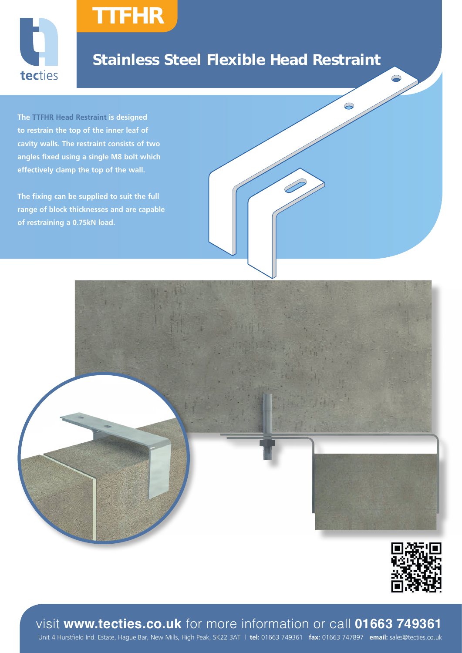

## Stainless Steel Flexible Head Restraint

**The TTFHR Head Restraint is designed to restrain the top of the inner leaf of cavity walls. The restraint consists of two angles fixed using a single M8 bolt which effectively clamp the top of the wall.**

TTFHR

**The fixing can be supplied to suit the full range of block thicknesses and are capable of restraining a 0.75kN load.**





visit **www.tecties.co.uk** for more information or call **01663 749361**

Unit 4 Hurstfield Ind. Estate, Hague Bar, New Mills, High Peak, SK22 3AT | **tel:** 01663 749361 **fax:** 01663 747897 **email:** sales@tecties.co.uk